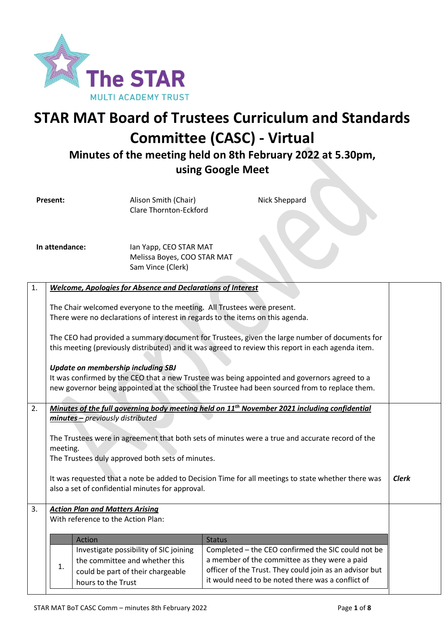

# **STAR MAT Board of Trustees Curriculum and Standards Committee (CASC) - Virtual**

**Minutes of the meeting held on 8th February 2022 at 5.30pm, using Google Meet**

Nick Sheppard

**Present:** Alison Smith (Chair) Clare Thornton-Eckford

**In attendance:** Ian Yapp, CEO STAR MAT Melissa Boyes, COO STAR MAT Sam Vince (Clerk)

| 1. | Welcome, Apologies for Absence and Declarations of Interest                                                                                                                                         |                                                                                                          |  |  |
|----|-----------------------------------------------------------------------------------------------------------------------------------------------------------------------------------------------------|----------------------------------------------------------------------------------------------------------|--|--|
|    | The Chair welcomed everyone to the meeting. All Trustees were present.                                                                                                                              |                                                                                                          |  |  |
|    | There were no declarations of interest in regards to the items on this agenda.                                                                                                                      |                                                                                                          |  |  |
|    | The CEO had provided a summary document for Trustees, given the large number of documents for<br>this meeting (previously distributed) and it was agreed to review this report in each agenda item. |                                                                                                          |  |  |
|    | <b>Update on membership including SBJ</b>                                                                                                                                                           |                                                                                                          |  |  |
|    | It was confirmed by the CEO that a new Trustee was being appointed and governors agreed to a<br>new governor being appointed at the school the Trustee had been sourced from to replace them.       |                                                                                                          |  |  |
|    |                                                                                                                                                                                                     |                                                                                                          |  |  |
| 2. | minutes - previously distributed                                                                                                                                                                    | Minutes of the full governing body meeting held on 11 <sup>th</sup> November 2021 including confidential |  |  |
|    |                                                                                                                                                                                                     |                                                                                                          |  |  |
|    | The Trustees were in agreement that both sets of minutes were a true and accurate record of the                                                                                                     |                                                                                                          |  |  |
|    | meeting.<br>The Trustees duly approved both sets of minutes.                                                                                                                                        |                                                                                                          |  |  |
|    |                                                                                                                                                                                                     |                                                                                                          |  |  |
|    | It was requested that a note be added to Decision Time for all meetings to state whether there was                                                                                                  |                                                                                                          |  |  |
|    | also a set of confidential minutes for approval.                                                                                                                                                    |                                                                                                          |  |  |
| 3. | <b>Action Plan and Matters Arising</b>                                                                                                                                                              |                                                                                                          |  |  |
|    | With reference to the Action Plan:                                                                                                                                                                  |                                                                                                          |  |  |
|    |                                                                                                                                                                                                     |                                                                                                          |  |  |
|    | Action                                                                                                                                                                                              | <b>Status</b>                                                                                            |  |  |
|    | Investigate possibility of SIC joining                                                                                                                                                              | Completed - the CEO confirmed the SIC could not be                                                       |  |  |
|    | the committee and whether this<br>1.                                                                                                                                                                | a member of the committee as they were a paid<br>officer of the Trust. They could join as an advisor but |  |  |
|    | could be part of their chargeable<br>hours to the Trust                                                                                                                                             | it would need to be noted there was a conflict of                                                        |  |  |
|    |                                                                                                                                                                                                     |                                                                                                          |  |  |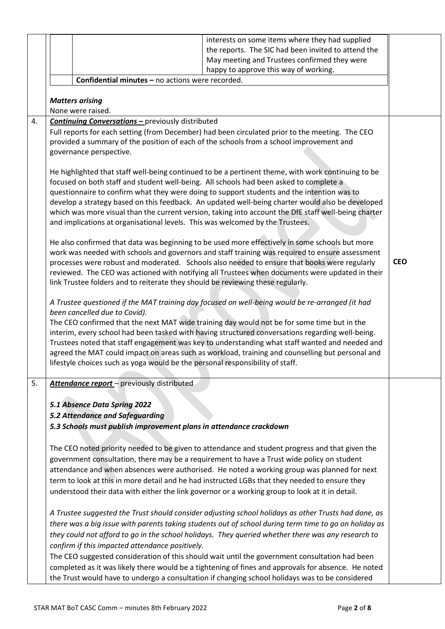|    |                                                                                 | interests on some items where they had supplied                                                                                                                                                   |            |
|----|---------------------------------------------------------------------------------|---------------------------------------------------------------------------------------------------------------------------------------------------------------------------------------------------|------------|
|    |                                                                                 | the reports. The SIC had been invited to attend the                                                                                                                                               |            |
|    |                                                                                 | May meeting and Trustees confirmed they were                                                                                                                                                      |            |
|    |                                                                                 | happy to approve this way of working.                                                                                                                                                             |            |
|    | Confidential minutes - no actions were recorded.                                |                                                                                                                                                                                                   |            |
|    |                                                                                 |                                                                                                                                                                                                   |            |
|    | <b>Matters arising</b>                                                          |                                                                                                                                                                                                   |            |
|    | None were raised.                                                               |                                                                                                                                                                                                   |            |
| 4. | <b>Continuing Conversations - previously distributed</b>                        |                                                                                                                                                                                                   |            |
|    | governance perspective.                                                         | Full reports for each setting (from December) had been circulated prior to the meeting. The CEO<br>provided a summary of the position of each of the schools from a school improvement and        |            |
|    |                                                                                 | He highlighted that staff well-being continued to be a pertinent theme, with work continuing to be                                                                                                |            |
|    |                                                                                 | focused on both staff and student well-being. All schools had been asked to complete a                                                                                                            |            |
|    |                                                                                 | questionnaire to confirm what they were doing to support students and the intention was to                                                                                                        |            |
|    |                                                                                 | develop a strategy based on this feedback. An updated well-being charter would also be developed                                                                                                  |            |
|    | and implications at organisational levels. This was welcomed by the Trustees.   | which was more visual than the current version, taking into account the DfE staff well-being charter                                                                                              |            |
|    |                                                                                 |                                                                                                                                                                                                   |            |
|    |                                                                                 | He also confirmed that data was beginning to be used more effectively in some schools but more<br>work was needed with schools and governors and staff training was required to ensure assessment |            |
|    |                                                                                 | processes were robust and moderated. Schools also needed to ensure that books were regularly                                                                                                      | <b>CEO</b> |
|    |                                                                                 | reviewed. The CEO was actioned with notifying all Trustees when documents were updated in their                                                                                                   |            |
|    | link Trustee folders and to reiterate they should be reviewing these regularly. |                                                                                                                                                                                                   |            |
|    |                                                                                 | A Trustee questioned if the MAT training day focused on well-being would be re-arranged (it had                                                                                                   |            |
|    | been cancelled due to Covid).                                                   |                                                                                                                                                                                                   |            |
|    |                                                                                 | The CEO confirmed that the next MAT wide training day would not be for some time but in the                                                                                                       |            |
|    |                                                                                 | interim, every school had been tasked with having structured conversations regarding well-being.                                                                                                  |            |
|    |                                                                                 | Trustees noted that staff engagement was key to understanding what staff wanted and needed and                                                                                                    |            |
|    |                                                                                 | agreed the MAT could impact on areas such as workload, training and counselling but personal and                                                                                                  |            |
|    | lifestyle choices such as yoga would be the personal responsibility of staff.   |                                                                                                                                                                                                   |            |
| 5. | Attendance report - previously distributed                                      |                                                                                                                                                                                                   |            |
|    |                                                                                 |                                                                                                                                                                                                   |            |
|    | 5.1 Absence Data Spring 2022                                                    |                                                                                                                                                                                                   |            |
|    | <b>5.2 Attendance and Safeguarding</b>                                          |                                                                                                                                                                                                   |            |
|    | 5.3 Schools must publish improvement plans in attendance crackdown              |                                                                                                                                                                                                   |            |
|    |                                                                                 |                                                                                                                                                                                                   |            |
|    |                                                                                 | The CEO noted priority needed to be given to attendance and student progress and that given the                                                                                                   |            |
|    |                                                                                 | government consultation, there may be a requirement to have a Trust wide policy on student                                                                                                        |            |
|    |                                                                                 | attendance and when absences were authorised. He noted a working group was planned for next                                                                                                       |            |
|    |                                                                                 | term to look at this in more detail and he had instructed LGBs that they needed to ensure they                                                                                                    |            |
|    |                                                                                 | understood their data with either the link governor or a working group to look at it in detail.                                                                                                   |            |
|    |                                                                                 | A Trustee suggested the Trust should consider adjusting school holidays as other Trusts had done, as                                                                                              |            |
|    |                                                                                 | there was a big issue with parents taking students out of school during term time to go on holiday as                                                                                             |            |
|    |                                                                                 | they could not afford to go in the school holidays. They queried whether there was any research to                                                                                                |            |
|    | confirm if this impacted attendance positively.                                 |                                                                                                                                                                                                   |            |
|    |                                                                                 | The CEO suggested consideration of this should wait until the government consultation had been                                                                                                    |            |
|    |                                                                                 | completed as it was likely there would be a tightening of fines and approvals for absence. He noted                                                                                               |            |
|    |                                                                                 | the Trust would have to undergo a consultation if changing school holidays was to be considered                                                                                                   |            |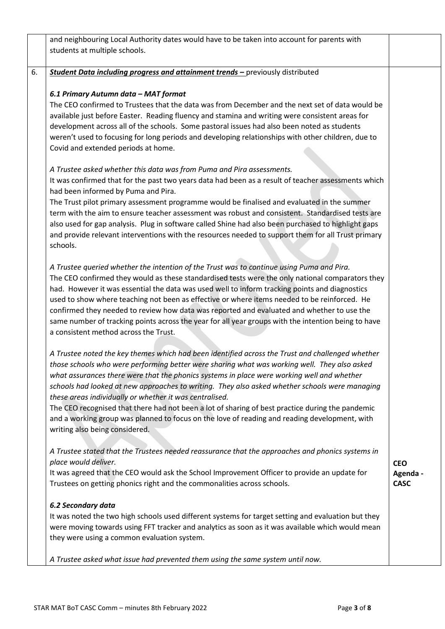|    | and neighbouring Local Authority dates would have to be taken into account for parents with<br>students at multiple schools.                                                                            |                         |
|----|---------------------------------------------------------------------------------------------------------------------------------------------------------------------------------------------------------|-------------------------|
|    |                                                                                                                                                                                                         |                         |
| 6. | <b>Student Data including progress and attainment trends -</b> previously distributed                                                                                                                   |                         |
|    | 6.1 Primary Autumn data - MAT format                                                                                                                                                                    |                         |
|    | The CEO confirmed to Trustees that the data was from December and the next set of data would be                                                                                                         |                         |
|    | available just before Easter. Reading fluency and stamina and writing were consistent areas for                                                                                                         |                         |
|    | development across all of the schools. Some pastoral issues had also been noted as students<br>weren't used to focusing for long periods and developing relationships with other children, due to       |                         |
|    | Covid and extended periods at home.                                                                                                                                                                     |                         |
|    | A Trustee asked whether this data was from Puma and Pira assessments.                                                                                                                                   |                         |
|    | It was confirmed that for the past two years data had been as a result of teacher assessments which<br>had been informed by Puma and Pira.                                                              |                         |
|    | The Trust pilot primary assessment programme would be finalised and evaluated in the summer                                                                                                             |                         |
|    | term with the aim to ensure teacher assessment was robust and consistent. Standardised tests are<br>also used for gap analysis. Plug in software called Shine had also been purchased to highlight gaps |                         |
|    | and provide relevant interventions with the resources needed to support them for all Trust primary                                                                                                      |                         |
|    | schools.                                                                                                                                                                                                |                         |
|    | A Trustee queried whether the intention of the Trust was to continue using Puma and Pira.                                                                                                               |                         |
|    | The CEO confirmed they would as these standardised tests were the only national comparators they                                                                                                        |                         |
|    | had. However it was essential the data was used well to inform tracking points and diagnostics                                                                                                          |                         |
|    | used to show where teaching not been as effective or where items needed to be reinforced. He<br>confirmed they needed to review how data was reported and evaluated and whether to use the              |                         |
|    | same number of tracking points across the year for all year groups with the intention being to have                                                                                                     |                         |
|    | a consistent method across the Trust.                                                                                                                                                                   |                         |
|    | A Trustee noted the key themes which had been identified across the Trust and challenged whether                                                                                                        |                         |
|    | those schools who were performing better were sharing what was working well. They also asked                                                                                                            |                         |
|    | what assurances there were that the phonics systems in place were working well and whether<br>schools had looked at new approaches to writing. They also asked whether schools were managing            |                         |
|    | these areas individually or whether it was centralised.                                                                                                                                                 |                         |
|    | The CEO recognised that there had not been a lot of sharing of best practice during the pandemic                                                                                                        |                         |
|    | and a working group was planned to focus on the love of reading and reading development, with                                                                                                           |                         |
|    | writing also being considered.                                                                                                                                                                          |                         |
|    | A Trustee stated that the Trustees needed reassurance that the approaches and phonics systems in                                                                                                        |                         |
|    | place would deliver.<br>It was agreed that the CEO would ask the School Improvement Officer to provide an update for                                                                                    | <b>CEO</b>              |
|    | Trustees on getting phonics right and the commonalities across schools.                                                                                                                                 | Agenda -<br><b>CASC</b> |
|    | 6.2 Secondary data                                                                                                                                                                                      |                         |
|    | It was noted the two high schools used different systems for target setting and evaluation but they                                                                                                     |                         |
|    | were moving towards using FFT tracker and analytics as soon as it was available which would mean                                                                                                        |                         |
|    | they were using a common evaluation system.                                                                                                                                                             |                         |
|    | A Trustee asked what issue had prevented them using the same system until now.                                                                                                                          |                         |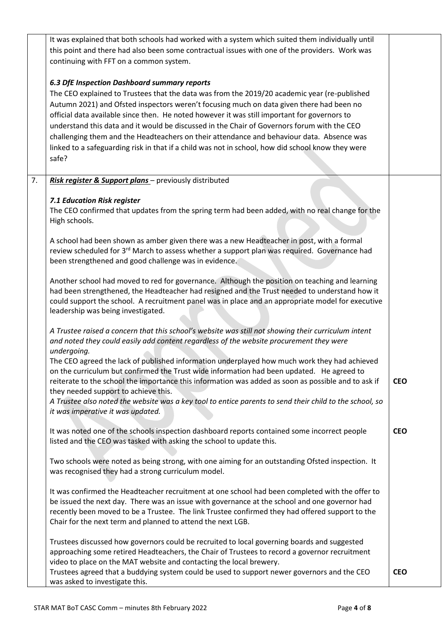|    | It was explained that both schools had worked with a system which suited them individually until<br>this point and there had also been some contractual issues with one of the providers. Work was<br>continuing with FFT on a common system.                                                                                                                                                                                                                                                                                                                                                                                                      |            |  |
|----|----------------------------------------------------------------------------------------------------------------------------------------------------------------------------------------------------------------------------------------------------------------------------------------------------------------------------------------------------------------------------------------------------------------------------------------------------------------------------------------------------------------------------------------------------------------------------------------------------------------------------------------------------|------------|--|
|    | 6.3 DfE Inspection Dashboard summary reports<br>The CEO explained to Trustees that the data was from the 2019/20 academic year (re-published<br>Autumn 2021) and Ofsted inspectors weren't focusing much on data given there had been no<br>official data available since then. He noted however it was still important for governors to<br>understand this data and it would be discussed in the Chair of Governors forum with the CEO<br>challenging them and the Headteachers on their attendance and behaviour data. Absence was<br>linked to a safeguarding risk in that if a child was not in school, how did school know they were<br>safe? |            |  |
| 7. | Risk register & Support plans - previously distributed<br>7.1 Education Risk register                                                                                                                                                                                                                                                                                                                                                                                                                                                                                                                                                              |            |  |
|    | The CEO confirmed that updates from the spring term had been added, with no real change for the<br>High schools.                                                                                                                                                                                                                                                                                                                                                                                                                                                                                                                                   |            |  |
|    | A school had been shown as amber given there was a new Headteacher in post, with a formal<br>review scheduled for 3rd March to assess whether a support plan was required. Governance had<br>been strengthened and good challenge was in evidence.                                                                                                                                                                                                                                                                                                                                                                                                 |            |  |
|    | Another school had moved to red for governance. Although the position on teaching and learning<br>had been strengthened, the Headteacher had resigned and the Trust needed to understand how it<br>could support the school. A recruitment panel was in place and an appropriate model for executive<br>leadership was being investigated.                                                                                                                                                                                                                                                                                                         |            |  |
|    | A Trustee raised a concern that this school's website was still not showing their curriculum intent<br>and noted they could easily add content regardless of the website procurement they were<br>undergoing.                                                                                                                                                                                                                                                                                                                                                                                                                                      |            |  |
|    | The CEO agreed the lack of published information underplayed how much work they had achieved<br>on the curriculum but confirmed the Trust wide information had been updated. He agreed to<br>reiterate to the school the importance this information was added as soon as possible and to ask if<br>they needed support to achieve this.                                                                                                                                                                                                                                                                                                           | <b>CEO</b> |  |
|    | A Trustee also noted the website was a key tool to entice parents to send their child to the school, so<br>it was imperative it was updated.                                                                                                                                                                                                                                                                                                                                                                                                                                                                                                       |            |  |
|    | It was noted one of the schools inspection dashboard reports contained some incorrect people<br>listed and the CEO was tasked with asking the school to update this.                                                                                                                                                                                                                                                                                                                                                                                                                                                                               | <b>CEO</b> |  |
|    | Two schools were noted as being strong, with one aiming for an outstanding Ofsted inspection. It<br>was recognised they had a strong curriculum model.                                                                                                                                                                                                                                                                                                                                                                                                                                                                                             |            |  |
|    | It was confirmed the Headteacher recruitment at one school had been completed with the offer to<br>be issued the next day. There was an issue with governance at the school and one governor had<br>recently been moved to be a Trustee. The link Trustee confirmed they had offered support to the<br>Chair for the next term and planned to attend the next LGB.                                                                                                                                                                                                                                                                                 |            |  |
|    | Trustees discussed how governors could be recruited to local governing boards and suggested<br>approaching some retired Headteachers, the Chair of Trustees to record a governor recruitment<br>video to place on the MAT website and contacting the local brewery.                                                                                                                                                                                                                                                                                                                                                                                |            |  |
|    | Trustees agreed that a buddying system could be used to support newer governors and the CEO<br>was asked to investigate this.                                                                                                                                                                                                                                                                                                                                                                                                                                                                                                                      | <b>CEO</b> |  |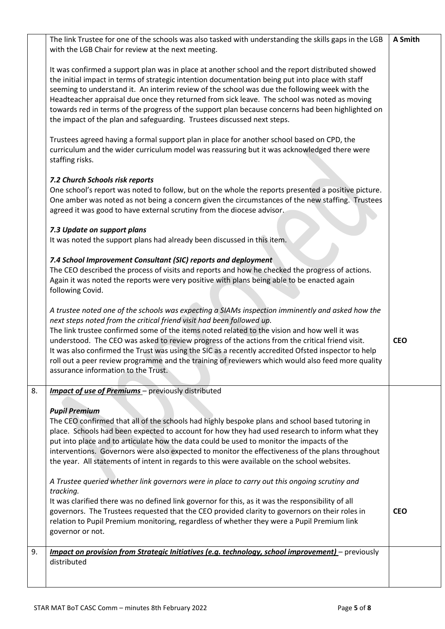The link Trustee for one of the schools was also tasked with understanding the skills gaps in the LGB with the LGB Chair for review at the next meeting. **A Smith**

It was confirmed a support plan was in place at another school and the report distributed showed the initial impact in terms of strategic intention documentation being put into place with staff seeming to understand it. An interim review of the school was due the following week with the Headteacher appraisal due once they returned from sick leave. The school was noted as moving towards red in terms of the progress of the support plan because concerns had been highlighted on the impact of the plan and safeguarding. Trustees discussed next steps.

Trustees agreed having a formal support plan in place for another school based on CPD, the curriculum and the wider curriculum model was reassuring but it was acknowledged there were staffing risks.

### *7.2 Church Schools risk reports*

One school's report was noted to follow, but on the whole the reports presented a positive picture. One amber was noted as not being a concern given the circumstances of the new staffing. Trustees agreed it was good to have external scrutiny from the diocese advisor.

#### *7.3 Update on support plans*

It was noted the support plans had already been discussed in this item.

#### *7.4 School Improvement Consultant (SIC) reports and deployment*

The CEO described the process of visits and reports and how he checked the progress of actions. Again it was noted the reports were very positive with plans being able to be enacted again following Covid.

*A trustee noted one of the schools was expecting a SIAMs inspection imminently and asked how the next steps noted from the critical friend visit had been followed up.* The link trustee confirmed some of the items noted related to the vision and how well it was

understood. The CEO was asked to review progress of the actions from the critical friend visit. It was also confirmed the Trust was using the SIC as a recently accredited Ofsted inspector to help roll out a peer review programme and the training of reviewers which would also feed more quality assurance information to the Trust.

#### 8. *Impact of use of Premiums* – previously distributed

#### *Pupil Premium*

The CEO confirmed that all of the schools had highly bespoke plans and school based tutoring in place. Schools had been expected to account for how they had used research to inform what they put into place and to articulate how the data could be used to monitor the impacts of the interventions. Governors were also expected to monitor the effectiveness of the plans throughout the year. All statements of intent in regards to this were available on the school websites.

*A Trustee queried whether link governors were in place to carry out this ongoing scrutiny and tracking.*

It was clarified there was no defined link governor for this, as it was the responsibility of all governors. The Trustees requested that the CEO provided clarity to governors on their roles in relation to Pupil Premium monitoring, regardless of whether they were a Pupil Premium link governor or not.

9. *Impact on provision from Strategic Initiatives (e.g. technology, school improvement)* – previously distributed

**CEO**

**CEO**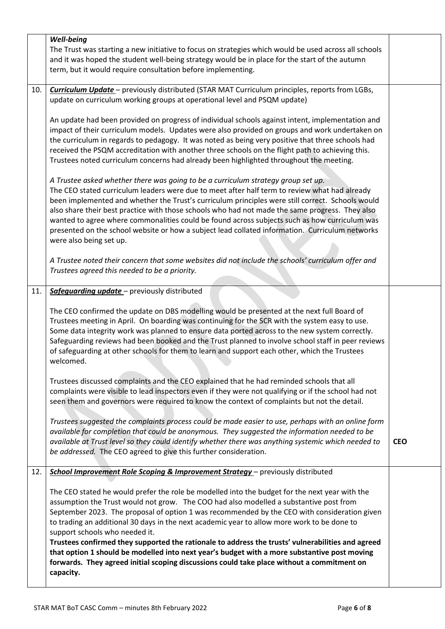| Well-being<br>The Trust was starting a new initiative to focus on strategies which would be used across all schools<br>and it was hoped the student well-being strategy would be in place for the start of the autumn<br>term, but it would require consultation before implementing.                                                                                                                                                                                                                                                                                                                                                                                                                                                                                             |                                                                                                                                               |
|-----------------------------------------------------------------------------------------------------------------------------------------------------------------------------------------------------------------------------------------------------------------------------------------------------------------------------------------------------------------------------------------------------------------------------------------------------------------------------------------------------------------------------------------------------------------------------------------------------------------------------------------------------------------------------------------------------------------------------------------------------------------------------------|-----------------------------------------------------------------------------------------------------------------------------------------------|
| Curriculum Update - previously distributed (STAR MAT Curriculum principles, reports from LGBs,<br>10.<br>update on curriculum working groups at operational level and PSQM update)<br>An update had been provided on progress of individual schools against intent, implementation and<br>impact of their curriculum models. Updates were also provided on groups and work undertaken on<br>the curriculum in regards to pedagogy. It was noted as being very positive that three schools had<br>received the PSQM accreditation with another three schools on the flight path to achieving this.<br>Trustees noted curriculum concerns had already been highlighted throughout the meeting.<br>A Trustee asked whether there was going to be a curriculum strategy group set up. |                                                                                                                                               |
| been implemented and whether the Trust's curriculum principles were still correct. Schools would<br>also share their best practice with those schools who had not made the same progress. They also<br>wanted to agree where commonalities could be found across subjects such as how curriculum was<br>presented on the school website or how a subject lead collated information. Curriculum networks<br>were also being set up.<br>A Trustee noted their concern that some websites did not include the schools' curriculum offer and<br>Trustees agreed this needed to be a priority.                                                                                                                                                                                         |                                                                                                                                               |
|                                                                                                                                                                                                                                                                                                                                                                                                                                                                                                                                                                                                                                                                                                                                                                                   |                                                                                                                                               |
| The CEO confirmed the update on DBS modelling would be presented at the next full Board of<br>Trustees meeting in April. On boarding was continuing for the SCR with the system easy to use.<br>Some data integrity work was planned to ensure data ported across to the new system correctly.<br>Safeguarding reviews had been booked and the Trust planned to involve school staff in peer reviews<br>of safeguarding at other schools for them to learn and support each other, which the Trustees<br>welcomed.                                                                                                                                                                                                                                                                |                                                                                                                                               |
| Trustees discussed complaints and the CEO explained that he had reminded schools that all<br>complaints were visible to lead inspectors even if they were not qualifying or if the school had not<br>seen them and governors were required to know the context of complaints but not the detail.                                                                                                                                                                                                                                                                                                                                                                                                                                                                                  |                                                                                                                                               |
| Trustees suggested the complaints process could be made easier to use, perhaps with an online form<br>available for completion that could be anonymous. They suggested the information needed to be<br>available at Trust level so they could identify whether there was anything systemic which needed to<br>be addressed. The CEO agreed to give this further consideration.                                                                                                                                                                                                                                                                                                                                                                                                    | <b>CEO</b>                                                                                                                                    |
| <b>School Improvement Role Scoping &amp; Improvement Strategy</b> - previously distributed                                                                                                                                                                                                                                                                                                                                                                                                                                                                                                                                                                                                                                                                                        |                                                                                                                                               |
| The CEO stated he would prefer the role be modelled into the budget for the next year with the<br>assumption the Trust would not grow. The COO had also modelled a substantive post from<br>September 2023. The proposal of option 1 was recommended by the CEO with consideration given<br>to trading an additional 30 days in the next academic year to allow more work to be done to<br>support schools who needed it.<br>Trustees confirmed they supported the rationale to address the trusts' vulnerabilities and agreed<br>that option 1 should be modelled into next year's budget with a more substantive post moving<br>forwards. They agreed initial scoping discussions could take place without a commitment on<br>capacity.                                         |                                                                                                                                               |
|                                                                                                                                                                                                                                                                                                                                                                                                                                                                                                                                                                                                                                                                                                                                                                                   | The CEO stated curriculum leaders were due to meet after half term to review what had already<br>Safeguarding update - previously distributed |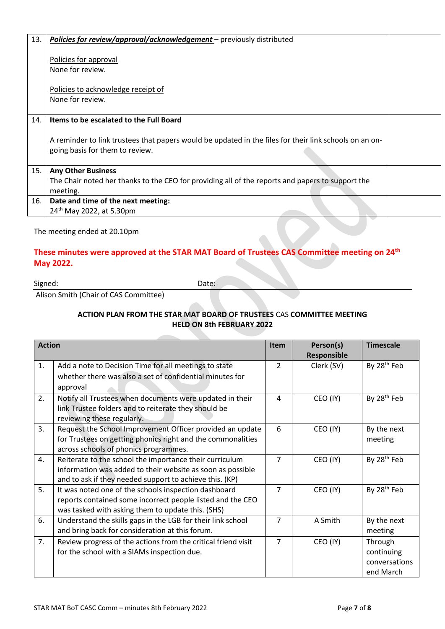| 13. | <b>Policies for review/approval/acknowledgement</b> – previously distributed                           |  |
|-----|--------------------------------------------------------------------------------------------------------|--|
|     | Policies for approval                                                                                  |  |
|     |                                                                                                        |  |
|     | None for review.                                                                                       |  |
|     |                                                                                                        |  |
|     | Policies to acknowledge receipt of                                                                     |  |
|     | None for review.                                                                                       |  |
|     |                                                                                                        |  |
| 14. | Items to be escalated to the Full Board                                                                |  |
|     |                                                                                                        |  |
|     | A reminder to link trustees that papers would be updated in the files for their link schools on an on- |  |
|     | going basis for them to review.                                                                        |  |
|     |                                                                                                        |  |
| 15. | <b>Any Other Business</b>                                                                              |  |
|     | The Chair noted her thanks to the CEO for providing all of the reports and papers to support the       |  |
|     | meeting.                                                                                               |  |
|     |                                                                                                        |  |
| 16. | Date and time of the next meeting:                                                                     |  |
|     | 24 <sup>th</sup> May 2022, at 5.30pm                                                                   |  |
|     |                                                                                                        |  |

#### The meeting ended at 20.10pm

# **These minutes were approved at the STAR MAT Board of Trustees CAS Committee meeting on 24th May 2022.**

Signed: Date:

Alison Smith (Chair of CAS Committee)

#### **ACTION PLAN FROM THE STAR MAT BOARD OF TRUSTEES** CAS **COMMITTEE MEETING HELD ON 8th FEBRUARY 2022**

| <b>Action</b> |                                                                                                                                                                                  | Item           | Person(s)<br><b>Responsible</b> | <b>Timescale</b>                                    |
|---------------|----------------------------------------------------------------------------------------------------------------------------------------------------------------------------------|----------------|---------------------------------|-----------------------------------------------------|
| 1.            | Add a note to Decision Time for all meetings to state<br>whether there was also a set of confidential minutes for<br>approval                                                    | $\overline{2}$ | Clerk (SV)                      | By 28 <sup>th</sup> Feb                             |
| 2.            | Notify all Trustees when documents were updated in their<br>link Trustee folders and to reiterate they should be<br>reviewing these regularly.                                   | 4              | CEO (IY)                        | By 28 <sup>th</sup> Feb                             |
| 3.            | Request the School Improvement Officer provided an update<br>for Trustees on getting phonics right and the commonalities<br>across schools of phonics programmes.                | 6              | CEO (IY)                        | By the next<br>meeting                              |
| 4.            | Reiterate to the school the importance their curriculum<br>information was added to their website as soon as possible<br>and to ask if they needed support to achieve this. (KP) | $\overline{7}$ | CEO (IY)                        | By 28 <sup>th</sup> Feb                             |
| 5.            | It was noted one of the schools inspection dashboard<br>reports contained some incorrect people listed and the CEO<br>was tasked with asking them to update this. (SHS)          | 7              | CEO (IY)                        | By 28 <sup>th</sup> Feb                             |
| 6.            | Understand the skills gaps in the LGB for their link school<br>and bring back for consideration at this forum.                                                                   | 7              | A Smith                         | By the next<br>meeting                              |
| 7.            | Review progress of the actions from the critical friend visit<br>for the school with a SIAMs inspection due.                                                                     | 7              | CEO (IY)                        | Through<br>continuing<br>conversations<br>end March |